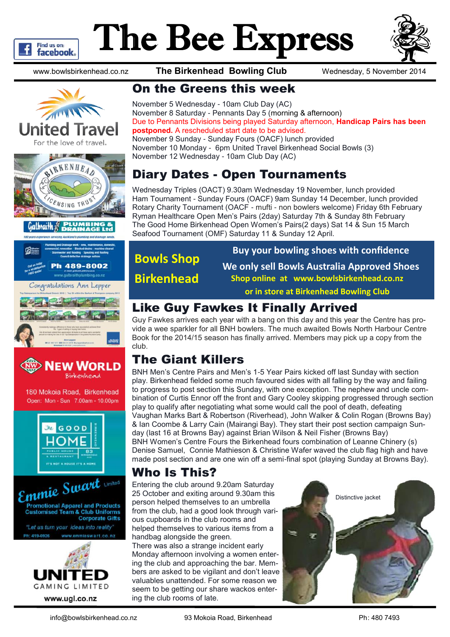

# The Bee Express



www.bowlsbirkenhead.co.nz **The Birkenhead Bowling Club** Wednesday, 5 November 2014









180 Mokoia Road, Birkenhead Open: Mon - Sun 7.00am - 10.00pm





**GAMING LIMITED** 

www.ugl.co.nz

#### On the Greens this week

November 5 Wednesday - 10am Club Day (AC) November 8 Saturday - Pennants Day 5 (morning & afternoon) Due to Pennants Divisions being played Saturday afternoon, **Handicap Pairs has been postponed.** A rescheduled start date to be advised. November 9 Sunday - Sunday Fours (OACF) lunch provided November 10 Monday - 6pm United Travel Birkenhead Social Bowls (3) November 12 Wednesday - 10am Club Day (AC)

#### Diary Dates - Open Tournaments

Wednesday Triples (OACT) 9.30am Wednesday 19 November, lunch provided Ham Tournament - Sunday Fours (OACF) 9am Sunday 14 December, lunch provided Rotary Charity Tournament (OACF - mufti - non bowlers welcome) Friday 6th February Ryman Healthcare Open Men's Pairs (2day) Saturday 7th & Sunday 8th February The Good Home Birkenhead Open Women's Pairs(2 days) Sat 14 & Sun 15 March Seafood Tournament (OMF) Saturday 11 & Sunday 12 April.

## **Bowls Shop Birkenhead**

**Buy your bowling shoes with confidence We only sell Bowls Australia Approved Shoes Shop online at www.bowlsbirkenhead.co.nz or in store at Birkenhead Bowling Club**

#### Like Guy Fawkes It Finally Arrived

Guy Fawkes arrives each year with a bang on this day and this year the Centre has provide a wee sparkler for all BNH bowlers. The much awaited Bowls North Harbour Centre Book for the 2014/15 season has finally arrived. Members may pick up a copy from the club.

#### The Giant Killers

BNH Men's Centre Pairs and Men's 1-5 Year Pairs kicked off last Sunday with section play. Birkenhead fielded some much favoured sides with all falling by the way and failing to progress to post section this Sunday, with one exception. The nephew and uncle combination of Curtis Ennor off the front and Gary Cooley skipping progressed through section play to qualify after negotiating what some would call the pool of death, defeating Vaughan Marks Bart & Robertson (Riverhead), John Walker & Colin Rogan (Browns Bay) & Ian Coombe & Larry Cain (Mairangi Bay). They start their post section campaign Sunday (last 16 at Browns Bay) against Brian Wilson & Neil Fisher (Browns Bay) BNH Women's Centre Fours the Birkenhead fours combination of Leanne Chinery (s) Denise Samuel, Connie Mathieson & Christine Wafer waved the club flag high and have made post section and are one win off a semi-final spot (playing Sunday at Browns Bay).

#### Who Is This?

Entering the club around 9.20am Saturday 25 October and exiting around 9.30am this person helped themselves to an umbrella from the club, had a good look through various cupboards in the club rooms and helped themselves to various items from a handbag alongside the green*.*

There was also a strange incident early Monday afternoon involving a women entering the club and approaching the bar. Members are asked to be vigilant and don't leave valuables unattended. For some reason we seem to be getting our share wackos entering the club rooms of late.